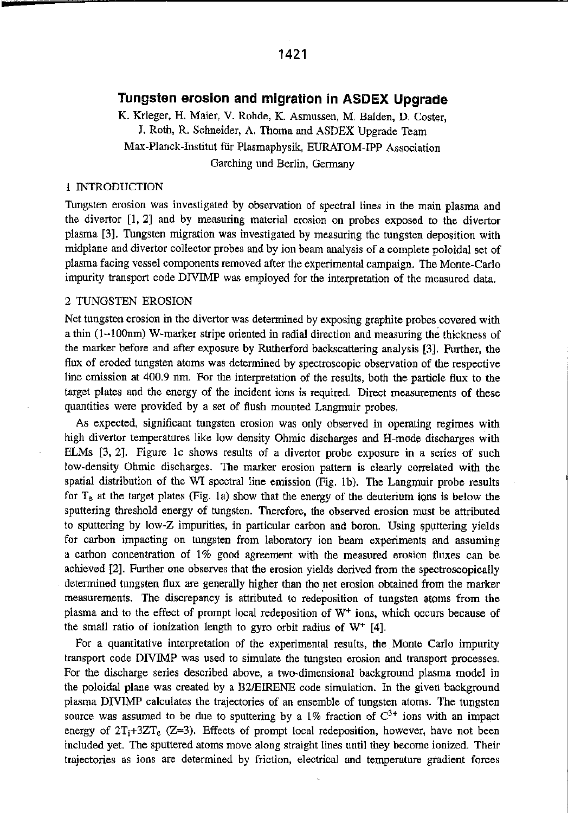# Tungsten erosion and migration in ASDEX Upgrade

K, Krieger, H. Majer, V. Rohde, K. Asmussen. M. Balden, D. Coster, J. Roth, R. Schneider, A. Thoma and ASDEX Upgrade Team Max-Planck-Institut für Plasmaphysik, EURATOM-IPP Association Garching und Berlin, Germany

## INTRODUCTION

Tungsten erosion was investigated by observation of spectral lines in the main plasma and the divertor [1,2] and by measuring material erosion on probes exposed to the divertor plasma [3]. Tungsten migration was investigated by measuring the tungsten deposition with midplane and divertor collector probes and by ion beam analysis of <sup>a</sup> complete poloidal set of plasma facing vessel components removed after the experimental campaign. The Monte—Carlo impurity transport code DIVIMP was employed for the interpretation of the measured data.

## 2 TUNGSTEN EROSION

Net tungsten erosion in the divertor was determined by exposing graphite probes covered with <sup>a</sup> thin (l—lOOnm) W—marker stripe oriented in radial direction and measuring the thickness of the marker before and after exposure by Rutherford backscattering analysis [3], Further, the flux of eroded tungsten atoms was determined by spectroscopic observation of the respective line emission at 400.9 nm. For the interpretation of the results, both the particle flux to the target plates and the energy of the incident ions is required. Direct measurements of these quantities were provided by <sup>a</sup> set of flush mounted Langmuir probes.

As expected, significant tungsten erosion was only observed in operating regimes with high divertor temperatures like low density Ohmic discharges and H—mode discharges with ELMs [3, 2]. Figure 1c shows results of <sup>a</sup> divertor probe exposure in <sup>a</sup> series of such low-density Ohmic discharges. The marker erosion pattern is clearly correlated with the spatial distribution of the WI spectral line emission (Fig. 1b). The Langmuir probe results for  $T<sub>e</sub>$  at the target plates (Fig. 1a) show that the energy of the deuterium ions is below the sputtering threshold energy of tungsten. Therefore, the observed erosion must be attributed to sputtering by low~Z impurities, in particular carbon and boron. Using sputtering yields for carbon impacting on tungsten from laboratory ion beam experiments and assuming <sup>a</sup> carbon concentration of 1% good agreement with the measured erosion fluxes can be achieved {2]. Further one observes that the erosion yields derived from the spectroscopically determined tungsten flux are generally higher than the net erosion obtained from the marker measurements. The discrepancy is attributed to redeposition of tungsten atoms from the plasma and to the effect of prompt local redeposition of W<sup>+</sup> ions, which occurs because of the small ratio of ionization length to gyro orbit radius of  $W^+$  [4].

For <sup>a</sup> quantitative interpretation of the experimental results, the Monte Carlo impurity transport code DIVIMP was used to simulate the tungsten erosion and transport processes. For the discharge series described above, <sup>a</sup> two~dimensional background plasma model in the poloidal plane was created by <sup>a</sup> BZIEIRENE code simulation. In the given background plasma DIVIMP calculates the trajectories of an ensemble of tungsten atoms. The tungsten source was assumed to be due to sputtering by a 1% fraction of  $C^{3+}$  ions with an impact energy of  $2T_i+3ZT_e$  (Z=3). Effects of prompt local redeposition, however, have not been included yet. The sputtered atoms move along straight lines until they become ionized. Their trajectories as ions are determined by friction, electrical and temperature gradient forces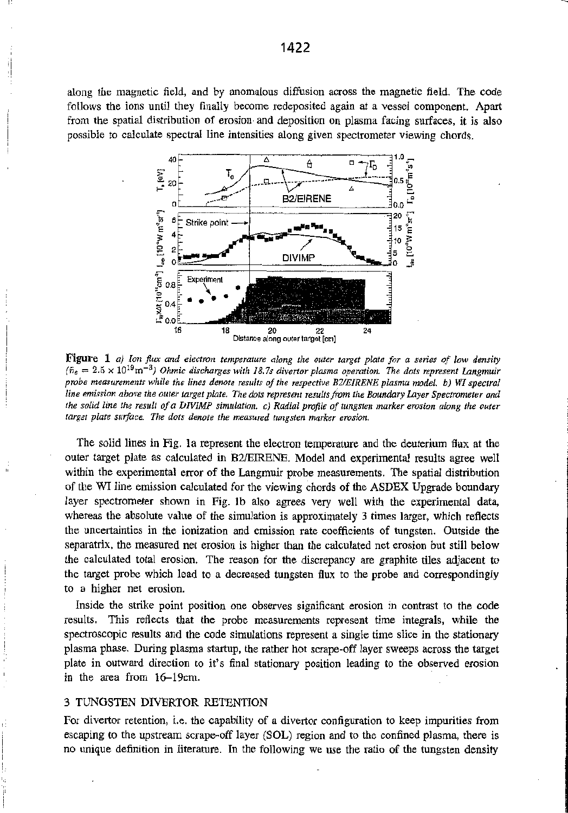along the magnetic field, and by anomalous diffusion across the magnetic field. The code follows the ions until they finally become redeposited again at <sup>a</sup> vessel component. Apart from the spatial distribution of erosion and deposition on plasma facing surfaces, it is also possible to calculate spectral line intensities along given spectrometer Viewing chords.



**Figure 1** a) Ion flux and electron temperature along the outer target plate for a series of low density  $(\bar{n}_{e} = 2.5 \times 10^{19} \text{m}^{-3})$  Ohmic discharges with 18.7s divertor plasma operation. The dots represent Langmuir probe measurements while the lines denote results of the respective BZ/EIRENE plasma model. b) WI spectral line emission above the outer target plate. The dots represent resultsfrom the Boundary Layer Spectrometer and the solid line the result of <sup>a</sup> DIVIMP simulation. c) Radial profile of tungsten marker erosion along the outer target plate surface. The dots denote the measured tungsten marker erosion.

The solid lines in Fig. la represent the electron temperature and the deuterium flux at the outer target plate as calculated in BZIEIRENE. Model and experimental results agree well within the experimental error of the Langmuir probe measurements, The spatial distribution of the WI line emission calculated for the viewing chords of the ASDEX Upgrade boundary layer spectrometer shown in Fig. 1b also agrees very well with the experimental data, whereas the absolute value of the simulation is approximately 3 times larger, which reflects the uncertainties in the ionization and emission rate coefficients of tungsten. Outside the separatrix, the measured net erosion is higher than the calculated net erosion but still below the calculated total erosion. The reason for the discrepancy are graphite tiles adjacent to the target probe which lead to <sup>a</sup> decreased tungsten flux to the probe and correspondingly to <sup>a</sup> higher net erosion.

Inside the strike point position one observes significant erosion in contrast to the code results. This reflects that the probe measurements represent time integrals, while the spectroscopic results and the code simulations represent <sup>a</sup> single time slice in the stationary plasma phase. During plasma startup, the rather hot scrape-off layer sweeps across the target plate in outward direction to it's final stationary position leading to the observed erosion in the area from  $16-19$ cm.

#### 3 TUNGSTEN DIVERTOR RETENTION

 $\overline{1}$ 

For divertor retention, i.e. the capability of <sup>a</sup> divertor configuration to keep impurities from escaping to the upstream scrape-off layer (SOL) region and to the confined plasma, there is no unique definition in literature. In the following we use the ratio of the tungsten density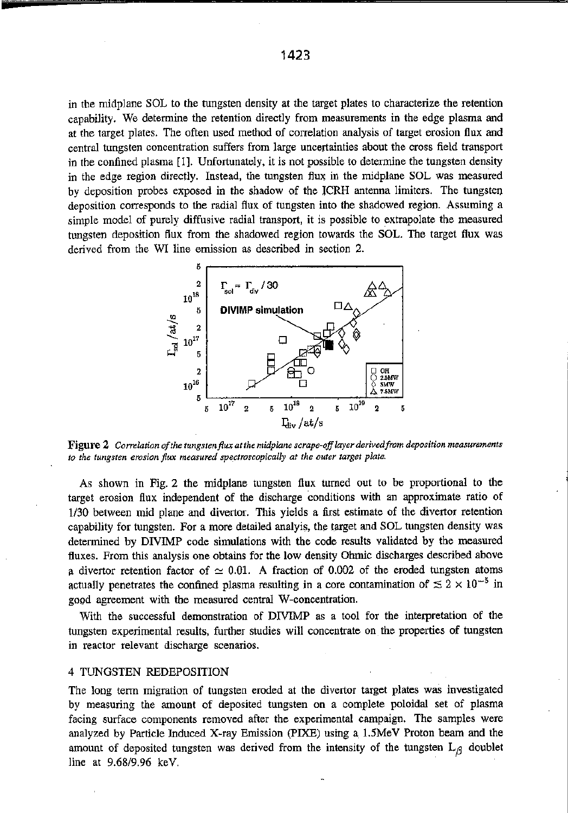in the midplane SOL to the tungsten density at the target plates to characterize the retention capability. We determine the retention directly from measurements in the edge plasma and at the target plates. The often used method of correlation analysis of target erosion flux and central tungsten concentration suffers from large uncertainties about the cross field transport in the confined plasma [1]. Unfortunately, it is not possible to determine the tungsten density in the edge region directly. Instead, the tungsten flux in the midplane SOL was measured by deposition probes exposed in the shadow ofthe ICRH antenna limiters. The tungsten deposition corresponds to the radial flux of tungsten into the shadowed region. Assuming <sup>a</sup> simple model of purely diffusive radial transport, it is possible to extrapolate the measured tungsten deposition flux from the shadowed region towards the SOL. The target flux was derived from the WI line emission as described in section 2.



Figure 2 Correlation of the tungsten flux at the midplane scrape-off layer derived from deposition measurements to the tungsten erosion flux measured spectroscopically at the outer target plate.

As shoWn in Fig. <sup>2</sup> the midplane tungsten flux turned out to be proportional to the target erosion flux independent of the discharge conditions with an approximate ratio of 1/30 between mid plane and divertor. This yields <sup>a</sup> first estimate of the divertor retention capability for tungsten For <sup>a</sup> more detailed analyis, the target and SOL tungsten density was determined by DIVIMP code simulations with the code results validated by the measured fluxes. From this analysis one obtains for the low density Ohmic discharges described above a divertor retention factor of  $\simeq 0.01$ . A fraction of 0.002 of the eroded tungsten atoms actually penetrates the confined plasma resulting in a core contamination of  $\lesssim 2 \times 10^{-5}$  in good agreement with the measured central W—concentration.

With the successful demonstration of DIVIMP as <sup>a</sup> tool for the interpretation of the tungsten experimental results, further studies will concentrate on the properties of tungsten in reactor relevant discharge scenarios.

### 4 TUNGSTEN REDEPOSITION

The long term migration of tungsten eroded at the divertor target plates was investigated by measuring the amount of deposited tungsten on <sup>a</sup> complete poloidal set of plasma facing surface components removed after the experimental campaign. The samples were analyzed by Particle Induced X~ray Emission (PIKE) using <sup>a</sup> 1.5MeV Proton beam and the amount of deposited tungsten was derived from the intensity of the tungsten  $L_f$  doublet line at 9.68/9.96 keV.